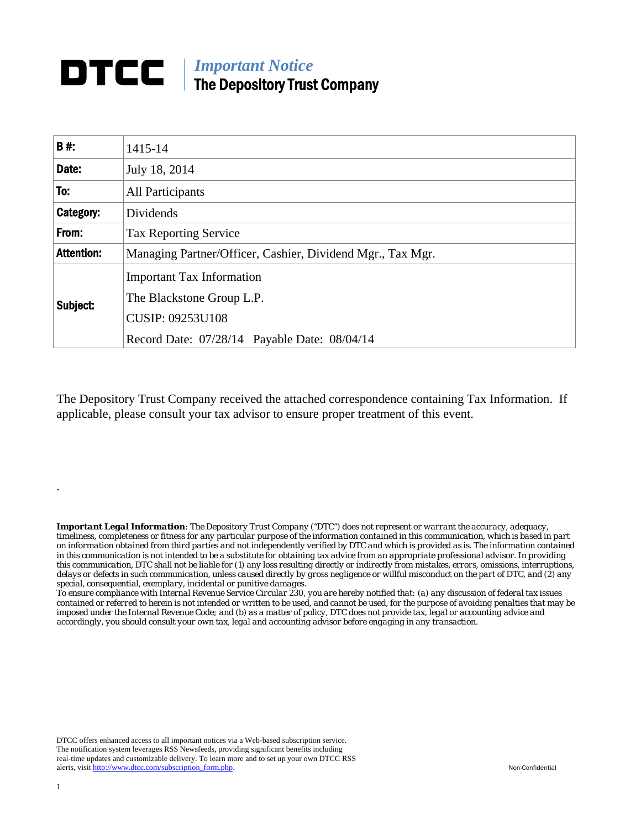## *Important Notice*  The Depository Trust Company

| <b>B#:</b>        | 1415-14                                                    |
|-------------------|------------------------------------------------------------|
| Date:             | July 18, 2014                                              |
| To:               | <b>All Participants</b>                                    |
| Category:         | Dividends                                                  |
| From:             | <b>Tax Reporting Service</b>                               |
| <b>Attention:</b> | Managing Partner/Officer, Cashier, Dividend Mgr., Tax Mgr. |
| Subject:          | <b>Important Tax Information</b>                           |
|                   | The Blackstone Group L.P.                                  |
|                   | <b>CUSIP: 09253U108</b>                                    |
|                   | Record Date: 07/28/14 Payable Date: 08/04/14               |

The Depository Trust Company received the attached correspondence containing Tax Information. If applicable, please consult your tax advisor to ensure proper treatment of this event.

*Important Legal Information: The Depository Trust Company ("DTC") does not represent or warrant the accuracy, adequacy, timeliness, completeness or fitness for any particular purpose of the information contained in this communication, which is based in part on information obtained from third parties and not independently verified by DTC and which is provided as is. The information contained in this communication is not intended to be a substitute for obtaining tax advice from an appropriate professional advisor. In providing this communication, DTC shall not be liable for (1) any loss resulting directly or indirectly from mistakes, errors, omissions, interruptions, delays or defects in such communication, unless caused directly by gross negligence or willful misconduct on the part of DTC, and (2) any special, consequential, exemplary, incidental or punitive damages.* 

*To ensure compliance with Internal Revenue Service Circular 230, you are hereby notified that: (a) any discussion of federal tax issues contained or referred to herein is not intended or written to be used, and cannot be used, for the purpose of avoiding penalties that may be imposed under the Internal Revenue Code; and (b) as a matter of policy, DTC does not provide tax, legal or accounting advice and accordingly, you should consult your own tax, legal and accounting advisor before engaging in any transaction.*

DTCC offers enhanced access to all important notices via a Web-based subscription service. The notification system leverages RSS Newsfeeds, providing significant benefits including real-time updates and customizable delivery. To learn more and to set up your own DTCC RSS alerts, visit http://www.dtcc.com/subscription\_form.php. Non-Confidential

.